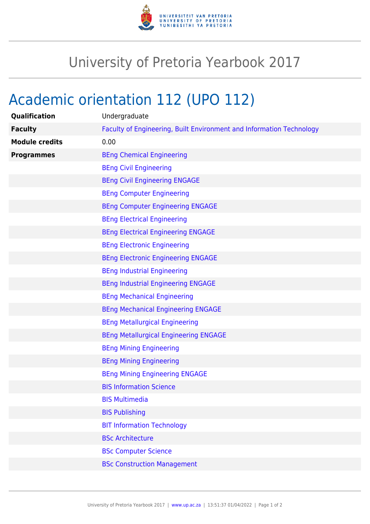

## University of Pretoria Yearbook 2017

## Academic orientation 112 (UPO 112)

| Qualification         | Undergraduate                                                        |
|-----------------------|----------------------------------------------------------------------|
| <b>Faculty</b>        | Faculty of Engineering, Built Environment and Information Technology |
| <b>Module credits</b> | 0.00                                                                 |
| <b>Programmes</b>     | <b>BEng Chemical Engineering</b>                                     |
|                       | <b>BEng Civil Engineering</b>                                        |
|                       | <b>BEng Civil Engineering ENGAGE</b>                                 |
|                       | <b>BEng Computer Engineering</b>                                     |
|                       | <b>BEng Computer Engineering ENGAGE</b>                              |
|                       | <b>BEng Electrical Engineering</b>                                   |
|                       | <b>BEng Electrical Engineering ENGAGE</b>                            |
|                       | <b>BEng Electronic Engineering</b>                                   |
|                       | <b>BEng Electronic Engineering ENGAGE</b>                            |
|                       | <b>BEng Industrial Engineering</b>                                   |
|                       | <b>BEng Industrial Engineering ENGAGE</b>                            |
|                       | <b>BEng Mechanical Engineering</b>                                   |
|                       | <b>BEng Mechanical Engineering ENGAGE</b>                            |
|                       | <b>BEng Metallurgical Engineering</b>                                |
|                       | <b>BEng Metallurgical Engineering ENGAGE</b>                         |
|                       | <b>BEng Mining Engineering</b>                                       |
|                       | <b>BEng Mining Engineering</b>                                       |
|                       | <b>BEng Mining Engineering ENGAGE</b>                                |
|                       | <b>BIS Information Science</b>                                       |
|                       | <b>BIS Multimedia</b>                                                |
|                       | <b>BIS Publishing</b>                                                |
|                       | <b>BIT Information Technology</b>                                    |
|                       | <b>BSc Architecture</b>                                              |
|                       | <b>BSc Computer Science</b>                                          |
|                       | <b>BSc Construction Management</b>                                   |
|                       |                                                                      |